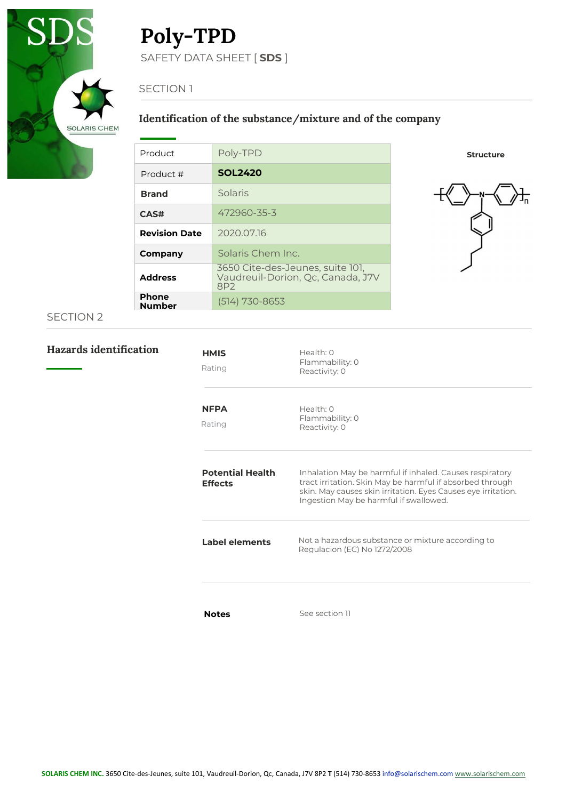

# Poly-TPD

SAFETY DATA SHEET [ SDS ]

## SECTION 1

## Identification of the substance/mixture and of the company

| Product                       | Poly-TPD                                                                     |
|-------------------------------|------------------------------------------------------------------------------|
| Product #                     | <b>SOL2420</b>                                                               |
| <b>Brand</b>                  | Solaris                                                                      |
| <b>CAS#</b>                   | 472960-35-3                                                                  |
| <b>Revision Date</b>          | 2020.07.16                                                                   |
| Company                       | Solaris Chem Inc.                                                            |
| <b>Address</b>                | 3650 Cite-des-Jeunes, suite 101,<br>Vaudreuil-Dorion, Oc. Canada, J7V<br>8P2 |
| <b>Phone</b><br><b>Number</b> | (514) 730-8653                                                               |

#### Structure



## SECTION 2

Hazards identification

| <b>HMIS</b><br>Rating                     | Health: 0<br>Flammability: 0<br>Reactivity: 0                                                                                                                                                                                    |
|-------------------------------------------|----------------------------------------------------------------------------------------------------------------------------------------------------------------------------------------------------------------------------------|
| <b>NFPA</b><br>Rating                     | Health: O<br>Flammability: 0<br>Reactivity: 0                                                                                                                                                                                    |
| <b>Potential Health</b><br><b>Effects</b> | Inhalation May be harmful if inhaled. Causes respiratory<br>tract irritation. Skin May be harmful if absorbed through<br>skin. May causes skin irritation. Eyes Causes eye irritation.<br>Ingestion May be harmful if swallowed. |
| Label elements                            | Not a hazardous substance or mixture according to<br>Regulacion (EC) No 1272/2008                                                                                                                                                |
| <b>Notes</b>                              | See section 11                                                                                                                                                                                                                   |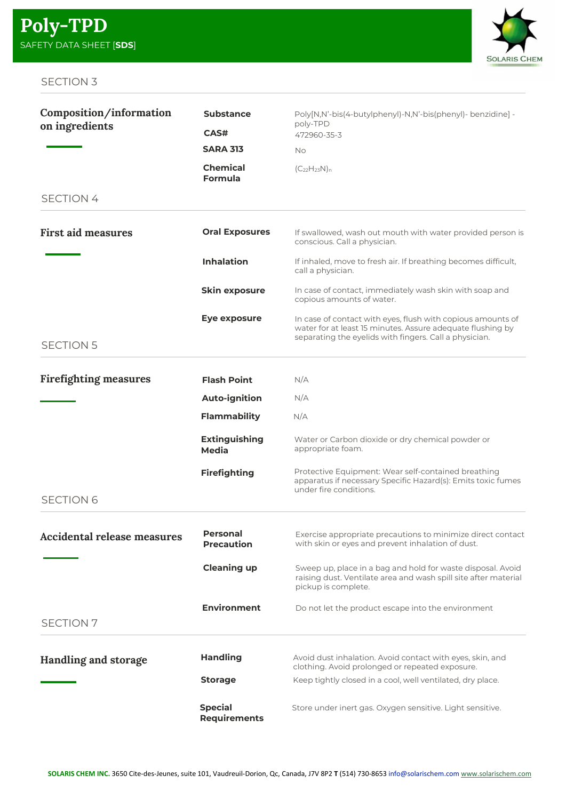

| Composition/information            | <b>Substance</b>                      | Poly[N,N'-bis(4-butylphenyl)-N,N'-bis(phenyl)- benzidine] -<br>poly-TPD                                                                                                             |
|------------------------------------|---------------------------------------|-------------------------------------------------------------------------------------------------------------------------------------------------------------------------------------|
| on ingredients                     | CAS#                                  | 472960-35-3                                                                                                                                                                         |
|                                    | <b>SARA 313</b>                       | No                                                                                                                                                                                  |
|                                    | <b>Chemical</b><br>Formula            | $(C_{22}H_{23}N)_n$                                                                                                                                                                 |
| <b>SECTION 4</b>                   |                                       |                                                                                                                                                                                     |
| <b>First aid measures</b>          | <b>Oral Exposures</b>                 | If swallowed, wash out mouth with water provided person is<br>conscious. Call a physician.                                                                                          |
|                                    | <b>Inhalation</b>                     | If inhaled, move to fresh air. If breathing becomes difficult,<br>call a physician.                                                                                                 |
|                                    | <b>Skin exposure</b>                  | In case of contact, immediately wash skin with soap and<br>copious amounts of water.                                                                                                |
|                                    | Eye exposure                          | In case of contact with eyes, flush with copious amounts of<br>water for at least 15 minutes. Assure adequate flushing by<br>separating the eyelids with fingers. Call a physician. |
| <b>SECTION 5</b>                   |                                       |                                                                                                                                                                                     |
| <b>Firefighting measures</b>       | <b>Flash Point</b>                    | N/A                                                                                                                                                                                 |
|                                    | <b>Auto-ignition</b>                  | N/A                                                                                                                                                                                 |
|                                    | Flammability                          | N/A                                                                                                                                                                                 |
|                                    | <b>Extinguishing</b><br>Media         | Water or Carbon dioxide or dry chemical powder or<br>appropriate foam.                                                                                                              |
|                                    | <b>Firefighting</b>                   | Protective Equipment: Wear self-contained breathing<br>apparatus if necessary Specific Hazard(s): Emits toxic fumes<br>under fire conditions.                                       |
| <b>SECTION 6</b>                   |                                       |                                                                                                                                                                                     |
| <b>Accidental release measures</b> | <b>Personal</b><br><b>Precaution</b>  | Exercise appropriate precautions to minimize direct contact<br>with skin or eyes and prevent inhalation of dust.                                                                    |
|                                    | <b>Cleaning up</b>                    | Sweep up, place in a bag and hold for waste disposal. Avoid<br>raising dust. Ventilate area and wash spill site after material<br>pickup is complete.                               |
| <b>SECTION 7</b>                   | <b>Environment</b>                    | Do not let the product escape into the environment                                                                                                                                  |
|                                    |                                       |                                                                                                                                                                                     |
| <b>Handling and storage</b>        | <b>Handling</b>                       | Avoid dust inhalation. Avoid contact with eyes, skin, and<br>clothing. Avoid prolonged or repeated exposure.                                                                        |
|                                    | <b>Storage</b>                        | Keep tightly closed in a cool, well ventilated, dry place.                                                                                                                          |
|                                    | <b>Special</b><br><b>Requirements</b> | Store under inert gas. Oxygen sensitive. Light sensitive.                                                                                                                           |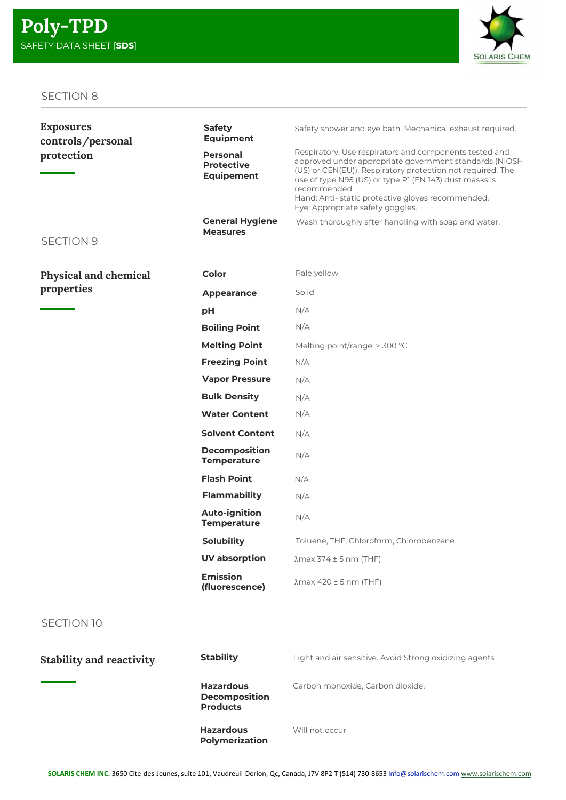

| <b>Exposures</b><br>controls/personal | <b>Safety</b><br><b>Equipment</b>                         | Safety shower and eye bath. Mechanical exhaust required.                                                                                                                                                                                                                                                                                         |
|---------------------------------------|-----------------------------------------------------------|--------------------------------------------------------------------------------------------------------------------------------------------------------------------------------------------------------------------------------------------------------------------------------------------------------------------------------------------------|
| protection<br><b>SECTION 9</b>        | <b>Personal</b><br><b>Protective</b><br><b>Equipement</b> | Respiratory: Use respirators and components tested and<br>approved under appropriate government standards (NIOSH<br>(US) or CEN(EU)). Respiratory protection not required. The<br>use of type N95 (US) or type P1 (EN 143) dust masks is<br>recommended.<br>Hand: Anti-static protective gloves recommended.<br>Eye: Appropriate safety goggles. |
|                                       | <b>General Hygiene</b><br><b>Measures</b>                 | Wash thoroughly after handling with soap and water.                                                                                                                                                                                                                                                                                              |
| Physical and chemical                 | Color                                                     | Pale yellow                                                                                                                                                                                                                                                                                                                                      |
| properties                            | Appearance                                                | Solid                                                                                                                                                                                                                                                                                                                                            |
|                                       | pH                                                        | N/A                                                                                                                                                                                                                                                                                                                                              |
|                                       | <b>Boiling Point</b>                                      | N/A                                                                                                                                                                                                                                                                                                                                              |
|                                       | <b>Melting Point</b>                                      | Melting point/range: > 300 °C                                                                                                                                                                                                                                                                                                                    |
|                                       | <b>Freezing Point</b>                                     | N/A                                                                                                                                                                                                                                                                                                                                              |
|                                       | <b>Vapor Pressure</b>                                     | N/A                                                                                                                                                                                                                                                                                                                                              |
|                                       | <b>Bulk Density</b>                                       | N/A                                                                                                                                                                                                                                                                                                                                              |
|                                       | <b>Water Content</b>                                      | N/A                                                                                                                                                                                                                                                                                                                                              |
|                                       | <b>Solvent Content</b>                                    | N/A                                                                                                                                                                                                                                                                                                                                              |
|                                       | <b>Decomposition</b><br><b>Temperature</b>                | N/A                                                                                                                                                                                                                                                                                                                                              |
|                                       | <b>Flash Point</b>                                        | N/A                                                                                                                                                                                                                                                                                                                                              |
|                                       | <b>Flammability</b>                                       | N/A                                                                                                                                                                                                                                                                                                                                              |
|                                       | <b>Auto-ignition</b><br><b>Temperature</b>                | N/A                                                                                                                                                                                                                                                                                                                                              |
|                                       | <b>Solubility</b>                                         | Toluene, THF, Chloroform, Chlorobenzene                                                                                                                                                                                                                                                                                                          |
|                                       | <b>UV</b> absorption                                      | $\lambda$ max 374 ± 5 nm (THF)                                                                                                                                                                                                                                                                                                                   |
|                                       | <b>Emission</b><br>(fluorescence)                         | $\lambda$ max 420 ± 5 nm (THF)                                                                                                                                                                                                                                                                                                                   |

## SECTION 10

| <b>Stability and reactivity</b> | <b>Stability</b>                                            | Light and air sensitive. Avoid Strong oxidizing agents |
|---------------------------------|-------------------------------------------------------------|--------------------------------------------------------|
|                                 | <b>Hazardous</b><br><b>Decomposition</b><br><b>Products</b> | Carbon monoxide, Carbon dioxide.                       |
|                                 | <b>Hazardous</b><br>Polymerization                          | Will not occur                                         |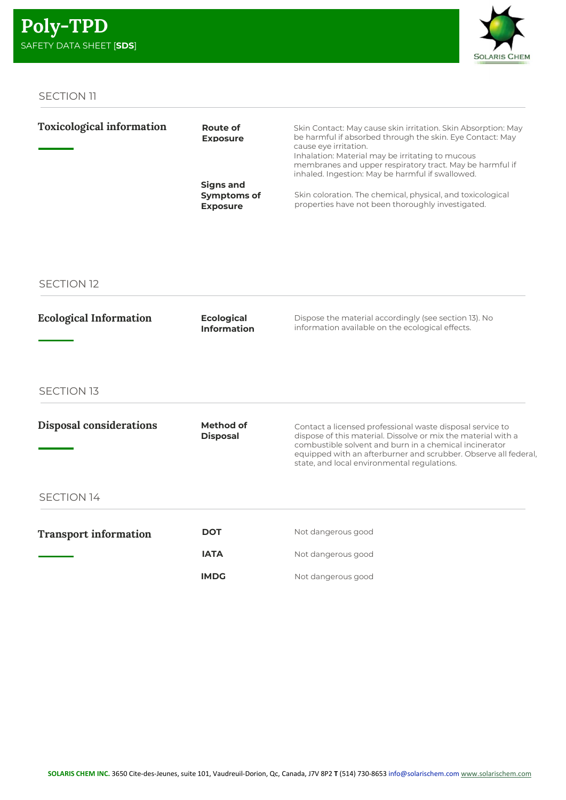

| <b>Toxicological information</b> | Route of<br><b>Exposure</b>           | Skin Contact: May cause skin irritation. Skin Absorption: May<br>be harmful if absorbed through the skin. Eye Contact: May<br>cause eye irritation.<br>Inhalation: Material may be irritating to mucous |
|----------------------------------|---------------------------------------|---------------------------------------------------------------------------------------------------------------------------------------------------------------------------------------------------------|
|                                  |                                       | membranes and upper respiratory tract. May be harmful if<br>inhaled. Ingestion: May be harmful if swallowed.                                                                                            |
|                                  | Signs and                             |                                                                                                                                                                                                         |
|                                  | <b>Symptoms of</b><br><b>Exposure</b> | Skin coloration. The chemical, physical, and toxicological<br>properties have not been thoroughly investigated.                                                                                         |
|                                  |                                       |                                                                                                                                                                                                         |

## SECTION 12

| <b>Ecological Information</b>  | <b>Ecological</b><br><b>Information</b> | Dispose the material accordingly (see section 13). No<br>information available on the ecological effects.                                                                                                                                                                                              |
|--------------------------------|-----------------------------------------|--------------------------------------------------------------------------------------------------------------------------------------------------------------------------------------------------------------------------------------------------------------------------------------------------------|
| <b>SECTION 13</b>              |                                         |                                                                                                                                                                                                                                                                                                        |
| <b>Disposal considerations</b> | Method of<br><b>Disposal</b>            | Contact a licensed professional waste disposal service to<br>dispose of this material. Dissolve or mix the material with a<br>combustible solvent and burn in a chemical incinerator<br>equipped with an afterburner and scrubber. Observe all federal,<br>state, and local environmental regulations. |
| <b>SECTION 14</b>              |                                         |                                                                                                                                                                                                                                                                                                        |
| <b>Transport information</b>   | <b>DOT</b>                              | Not dangerous good                                                                                                                                                                                                                                                                                     |
|                                | <b>IATA</b>                             | Not dangerous good                                                                                                                                                                                                                                                                                     |

Not dangerous good

IMDG